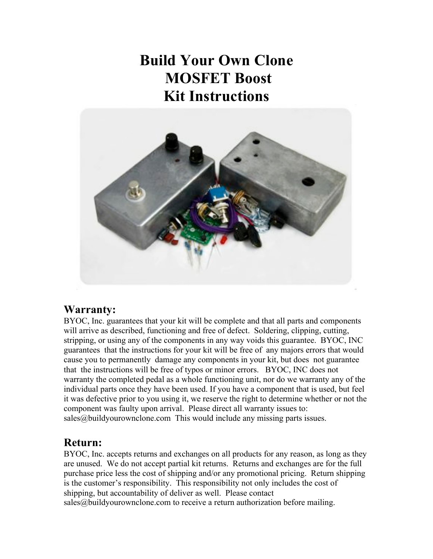# **Build Your Own Clone MOSFET Boost Kit Instructions**



#### **Warranty:**

BYOC, Inc. guarantees that your kit will be complete and that all parts and components will arrive as described, functioning and free of defect. Soldering, clipping, cutting, stripping, or using any of the components in any way voids this guarantee. BYOC, INC guarantees that the instructions for your kit will be free of any majors errors that would cause you to permanently damage any components in your kit, but does not guarantee that the instructions will be free of typos or minor errors. BYOC, INC does not warranty the completed pedal as a whole functioning unit, nor do we warranty any of the individual parts once they have been used. If you have a component that is used, but feel it was defective prior to you using it, we reserve the right to determine whether or not the component was faulty upon arrival. Please direct all warranty issues to: sales@buildyourownclone.com This would include any missing parts issues.

#### **Return:**

BYOC, Inc. accepts returns and exchanges on all products for any reason, as long as they are unused. We do not accept partial kit returns. Returns and exchanges are for the full purchase price less the cost of shipping and/or any promotional pricing. Return shipping is the customer's responsibility. This responsibility not only includes the cost of shipping, but accountability of deliver as well. Please contact sales@buildyourownclone.com to receive a return authorization before mailing.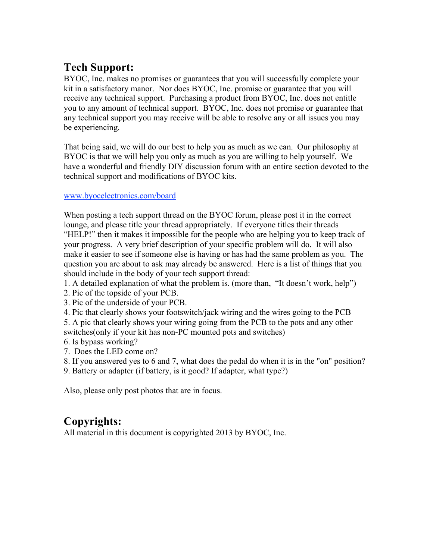## **Tech Support:**

BYOC, Inc. makes no promises or guarantees that you will successfully complete your kit in a satisfactory manor. Nor does BYOC, Inc. promise or guarantee that you will receive any technical support. Purchasing a product from BYOC, Inc. does not entitle you to any amount of technical support. BYOC, Inc. does not promise or guarantee that any technical support you may receive will be able to resolve any or all issues you may be experiencing.

That being said, we will do our best to help you as much as we can. Our philosophy at BYOC is that we will help you only as much as you are willing to help yourself. We have a wonderful and friendly DIY discussion forum with an entire section devoted to the technical support and modifications of BYOC kits.

#### www.byocelectronics.com/board

When posting a tech support thread on the BYOC forum, please post it in the correct lounge, and please title your thread appropriately. If everyone titles their threads "HELP!" then it makes it impossible for the people who are helping you to keep track of your progress. A very brief description of your specific problem will do. It will also make it easier to see if someone else is having or has had the same problem as you. The question you are about to ask may already be answered. Here is a list of things that you should include in the body of your tech support thread:

- 1. A detailed explanation of what the problem is. (more than, "It doesn't work, help")
- 2. Pic of the topside of your PCB.
- 3. Pic of the underside of your PCB.

4. Pic that clearly shows your footswitch/jack wiring and the wires going to the PCB

5. A pic that clearly shows your wiring going from the PCB to the pots and any other switches(only if your kit has non-PC mounted pots and switches)

6. Is bypass working?

- 7. Does the LED come on?
- 8. If you answered yes to 6 and 7, what does the pedal do when it is in the "on" position?
- 9. Battery or adapter (if battery, is it good? If adapter, what type?)

Also, please only post photos that are in focus.

## **Copyrights:**

All material in this document is copyrighted 2013 by BYOC, Inc.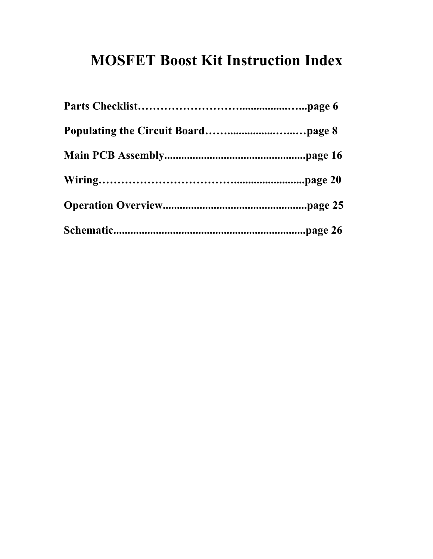# **MOSFET Boost Kit Instruction Index**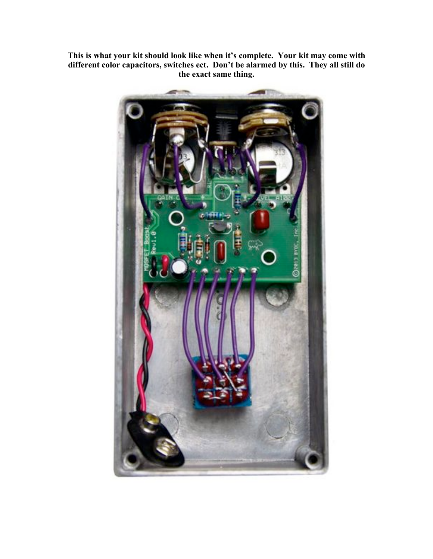**This is what your kit should look like when it's complete. Your kit may come with different color capacitors, switches ect. Don't be alarmed by this. They all still do the exact same thing.**

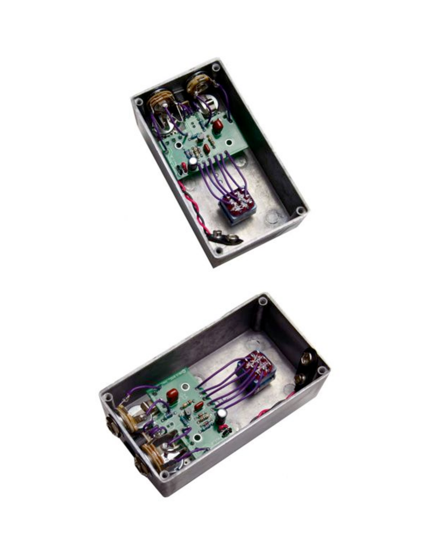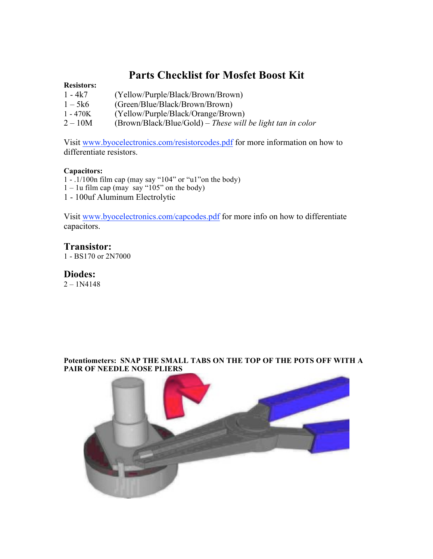### **Parts Checklist for Mosfet Boost Kit**

- **Resistors:** 1 - 4k7 (Yellow/Purple/Black/Brown/Brown)
- 1 5k6 (Green/Blue/Black/Brown/Brown)
- 1 470K (Yellow/Purple/Black/Orange/Brown)
- 
- 2 10M (Brown/Black/Blue/Gold) *These will be light tan in color*

Visit www.byocelectronics.com/resistorcodes.pdf for more information on how to differentiate resistors.

#### **Capacitors:**

1 - .1/100n film cap (may say "104" or "u1"on the body)

- $1 1$ u film cap (may say "105" on the body)
- 1 100uf Aluminum Electrolytic

Visit www.byocelectronics.com/capcodes.pdf for more info on how to differentiate capacitors.

#### **Transistor:**

1 - BS170 or 2N7000

#### **Diodes:**

 $2 - 1N4148$ 

#### **Potentiometers: SNAP THE SMALL TABS ON THE TOP OF THE POTS OFF WITH A PAIR OF NEEDLE NOSE PLIERS**

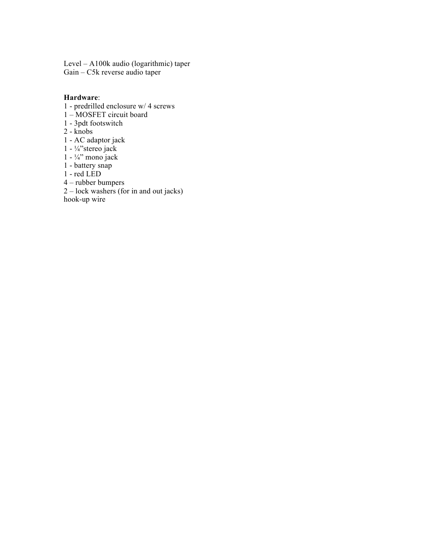Level – A100k audio (logarithmic) taper Gain – C5k reverse audio taper

#### **Hardware**:

- 1 predrilled enclosure w/ 4 screws
- 1 MOSFET circuit board
- 1 3pdt footswitch
- 2 knobs
- 1 AC adaptor jack
- $1 \frac{1}{4}$ "stereo jack
- $1 \frac{1}{4}$ " mono jack
- 1 battery snap
- 1 red LED
- 4 rubber bumpers
- 2 lock washers (for in and out jacks)

hook-up wire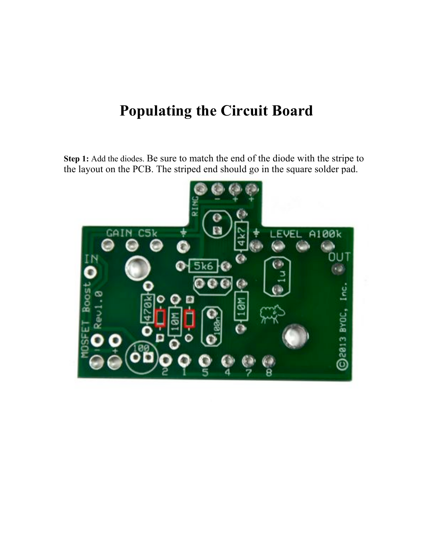## **Populating the Circuit Board**

**Step 1:** Add the diodes. Be sure to match the end of the diode with the stripe to the layout on the PCB. The striped end should go in the square solder pad.

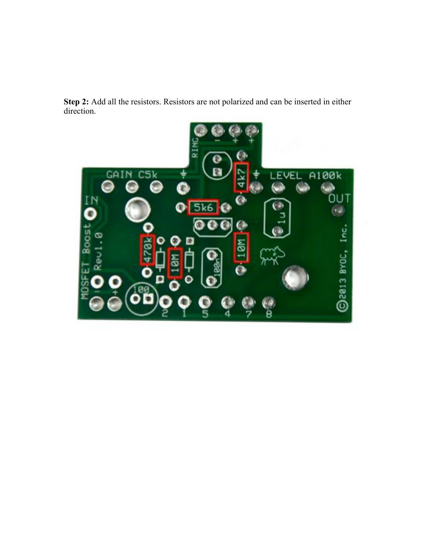**Step 2:** Add all the resistors. Resistors are not polarized and can be inserted in either direction.

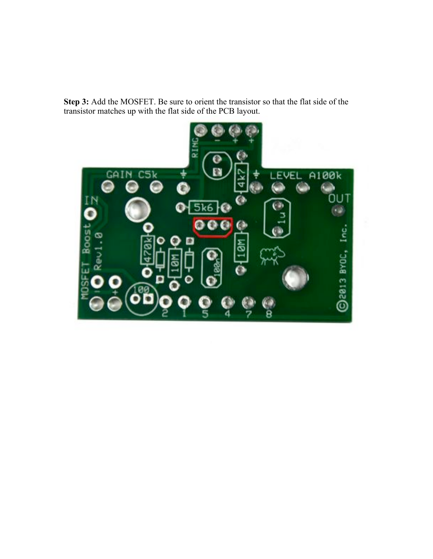**Step 3:** Add the MOSFET. Be sure to orient the transistor so that the flat side of the transistor matches up with the flat side of the PCB layout.

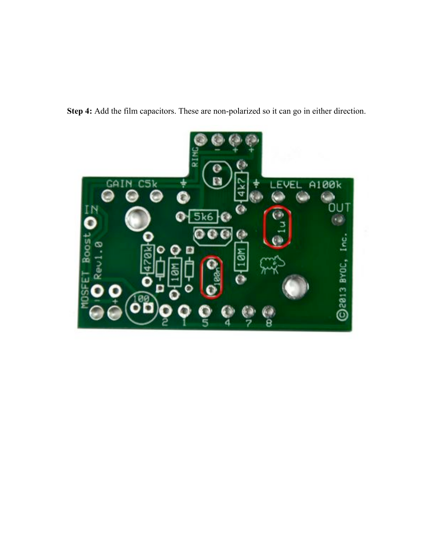**Step 4:** Add the film capacitors. These are non-polarized so it can go in either direction.

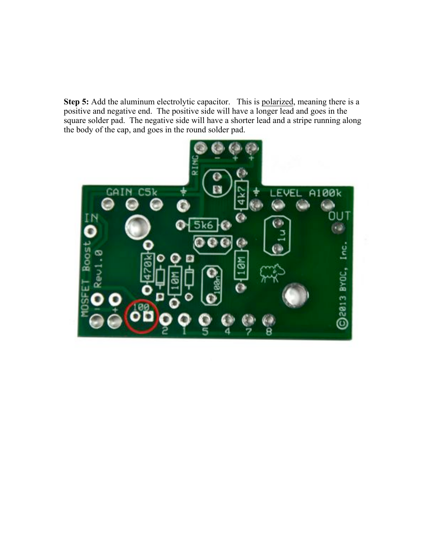**Step 5:** Add the aluminum electrolytic capacitor. This is polarized, meaning there is a positive and negative end. The positive side will have a longer lead and goes in the square solder pad. The negative side will have a shorter lead and a stripe running along the body of the cap, and goes in the round solder pad.

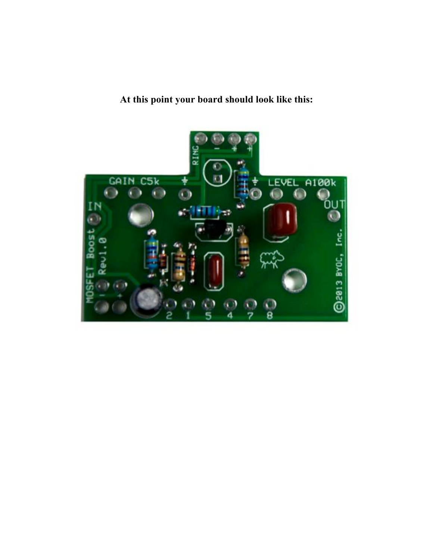**At this point your board should look like this:**

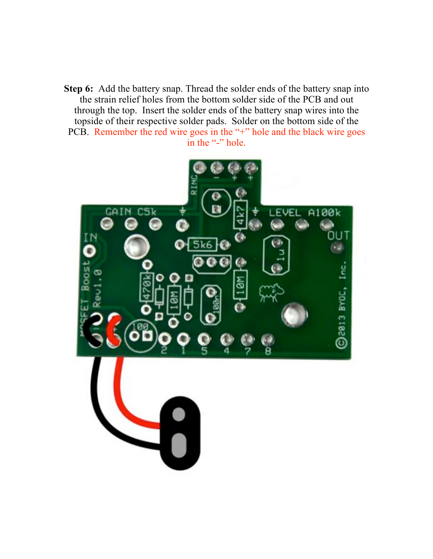**Step 6:** Add the battery snap. Thread the solder ends of the battery snap into the strain relief holes from the bottom solder side of the PCB and out through the top. Insert the solder ends of the battery snap wires into the topside of their respective solder pads. Solder on the bottom side of the PCB. Remember the red wire goes in the "+" hole and the black wire goes in the "-" hole.

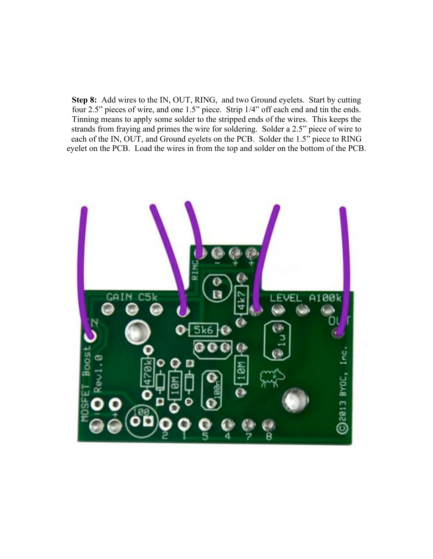**Step 8:** Add wires to the IN, OUT, RING, and two Ground eyelets. Start by cutting four 2.5" pieces of wire, and one 1.5" piece. Strip 1/4" off each end and tin the ends. Tinning means to apply some solder to the stripped ends of the wires. This keeps the strands from fraying and primes the wire for soldering. Solder a 2.5" piece of wire to each of the IN, OUT, and Ground eyelets on the PCB. Solder the 1.5" piece to RING eyelet on the PCB. Load the wires in from the top and solder on the bottom of the PCB.

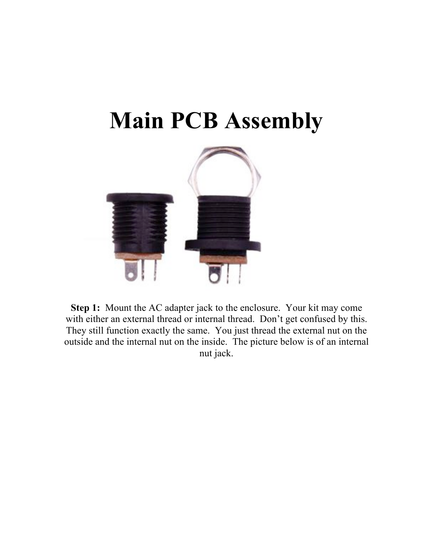# **Main PCB Assembly**



**Step 1:** Mount the AC adapter jack to the enclosure. Your kit may come with either an external thread or internal thread. Don't get confused by this. They still function exactly the same. You just thread the external nut on the outside and the internal nut on the inside. The picture below is of an internal nut jack.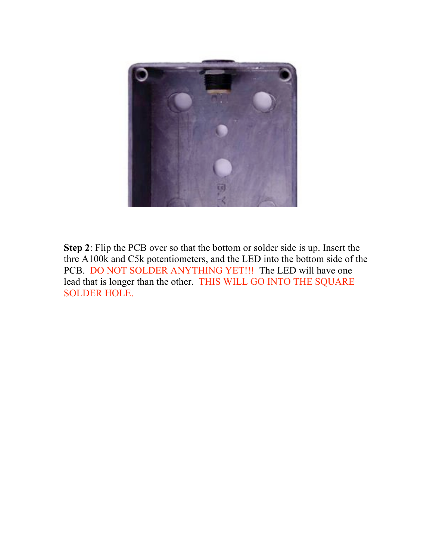

**Step 2**: Flip the PCB over so that the bottom or solder side is up. Insert the thre A100k and C5k potentiometers, and the LED into the bottom side of the PCB. DO NOT SOLDER ANYTHING YET!!! The LED will have one lead that is longer than the other. THIS WILL GO INTO THE SQUARE SOLDER HOLE.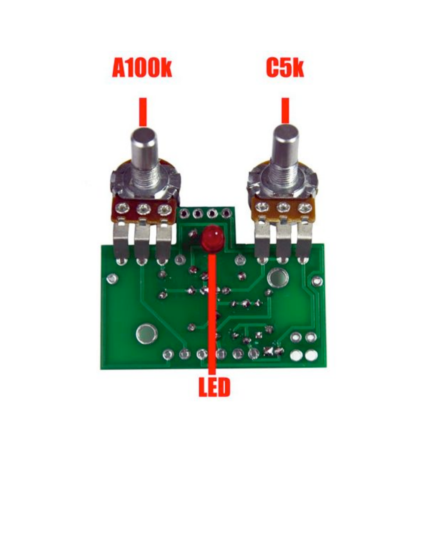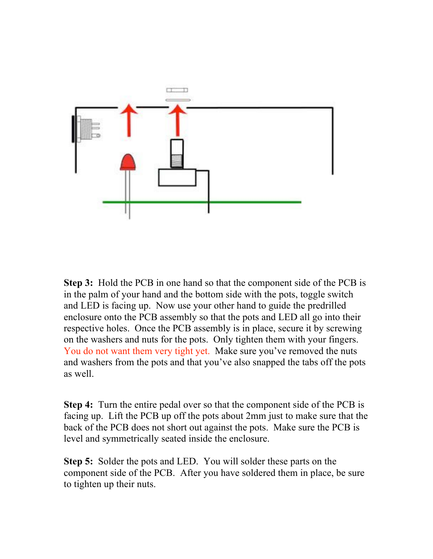

**Step 3:** Hold the PCB in one hand so that the component side of the PCB is in the palm of your hand and the bottom side with the pots, toggle switch and LED is facing up. Now use your other hand to guide the predrilled enclosure onto the PCB assembly so that the pots and LED all go into their respective holes. Once the PCB assembly is in place, secure it by screwing on the washers and nuts for the pots. Only tighten them with your fingers. You do not want them very tight yet. Make sure you've removed the nuts and washers from the pots and that you've also snapped the tabs off the pots as well.

**Step 4:** Turn the entire pedal over so that the component side of the PCB is facing up. Lift the PCB up off the pots about 2mm just to make sure that the back of the PCB does not short out against the pots. Make sure the PCB is level and symmetrically seated inside the enclosure.

**Step 5:** Solder the pots and LED. You will solder these parts on the component side of the PCB. After you have soldered them in place, be sure to tighten up their nuts.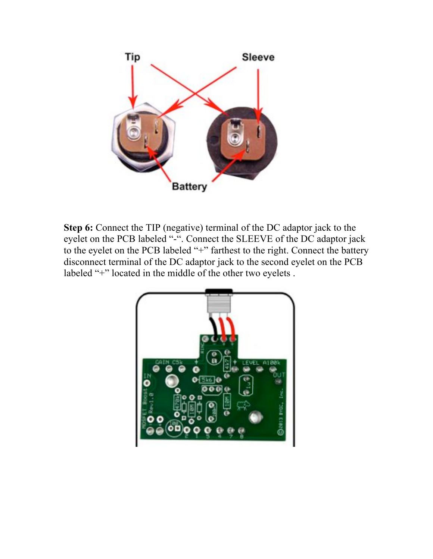

**Step 6:** Connect the TIP (negative) terminal of the DC adaptor jack to the eyelet on the PCB labeled "-". Connect the SLEEVE of the DC adaptor jack to the eyelet on the PCB labeled "+" farthest to the right. Connect the battery disconnect terminal of the DC adaptor jack to the second eyelet on the PCB labeled "+" located in the middle of the other two eyelets .

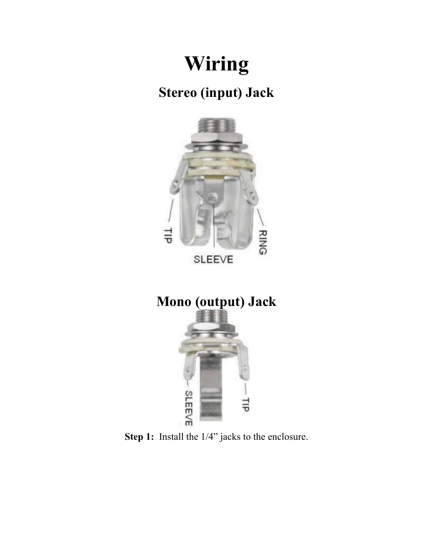# **Wiring**

**Stereo (input) Jack**





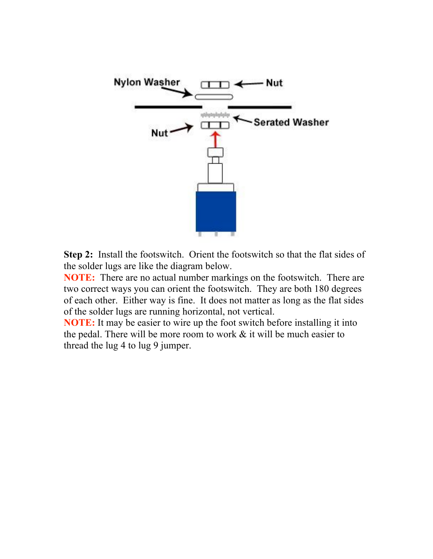

**Step 2:** Install the footswitch. Orient the footswitch so that the flat sides of the solder lugs are like the diagram below.

**NOTE:** There are no actual number markings on the footswitch. There are two correct ways you can orient the footswitch. They are both 180 degrees of each other. Either way is fine. It does not matter as long as the flat sides of the solder lugs are running horizontal, not vertical.

**NOTE:** It may be easier to wire up the foot switch before installing it into the pedal. There will be more room to work  $\&$  it will be much easier to thread the lug 4 to lug 9 jumper.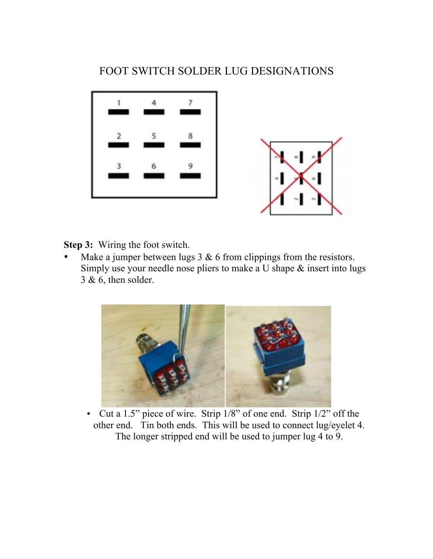### FOOT SWITCH SOLDER LUG DESIGNATIONS



**Step 3:** Wiring the foot switch.

Make a jumper between lugs  $3 \& 6$  from clippings from the resistors. Simply use your needle nose pliers to make a U shape & insert into lugs  $3 & 6$ , then solder.



• Cut a 1.5" piece of wire. Strip 1/8" of one end. Strip 1/2" off the other end. Tin both ends. This will be used to connect lug/eyelet 4. The longer stripped end will be used to jumper lug 4 to 9.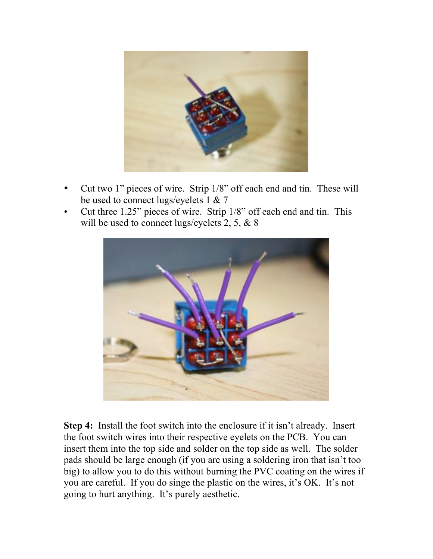

- Cut two 1" pieces of wire. Strip 1/8" off each end and tin. These will be used to connect lugs/eyelets 1 & 7
- Cut three 1.25" pieces of wire. Strip 1/8" off each end and tin. This will be used to connect lugs/eyelets 2, 5, & 8



**Step 4:** Install the foot switch into the enclosure if it isn't already. Insert the foot switch wires into their respective eyelets on the PCB. You can insert them into the top side and solder on the top side as well. The solder pads should be large enough (if you are using a soldering iron that isn't too big) to allow you to do this without burning the PVC coating on the wires if you are careful. If you do singe the plastic on the wires, it's OK. It's not going to hurt anything. It's purely aesthetic.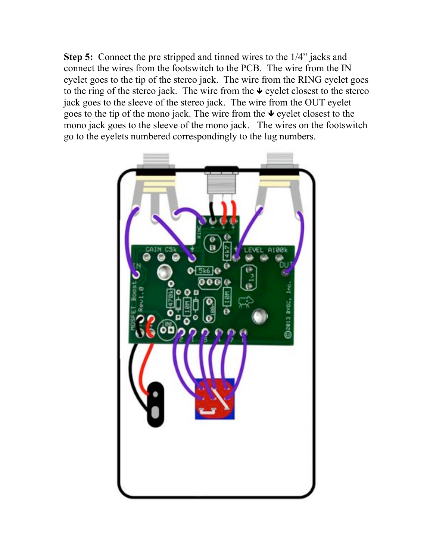**Step 5:** Connect the pre stripped and tinned wires to the 1/4" jacks and connect the wires from the footswitch to the PCB. The wire from the IN eyelet goes to the tip of the stereo jack. The wire from the RING eyelet goes to the ring of the stereo jack. The wire from the  $\blacklozenge$  eyelet closest to the stereo jack goes to the sleeve of the stereo jack. The wire from the OUT eyelet goes to the tip of the mono jack. The wire from the  $\blacklozenge$  eyelet closest to the mono jack goes to the sleeve of the mono jack. The wires on the footswitch go to the eyelets numbered correspondingly to the lug numbers.

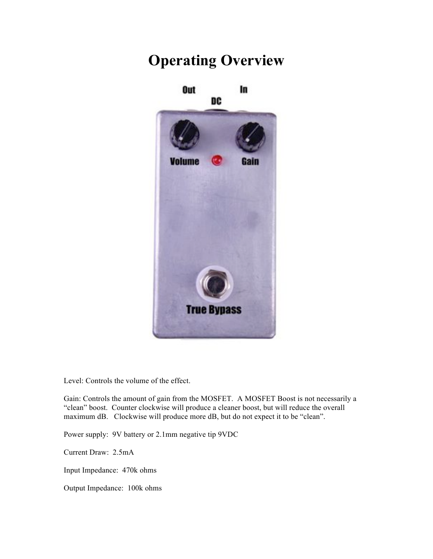![](_page_25_Picture_0.jpeg)

# **Operating Overview**

Level: Controls the volume of the effect.

Gain: Controls the amount of gain from the MOSFET. A MOSFET Boost is not necessarily a "clean" boost. Counter clockwise will produce a cleaner boost, but will reduce the overall maximum dB. Clockwise will produce more dB, but do not expect it to be "clean".

Power supply: 9V battery or 2.1mm negative tip 9VDC

Current Draw: 2.5mA

Input Impedance: 470k ohms

Output Impedance: 100k ohms